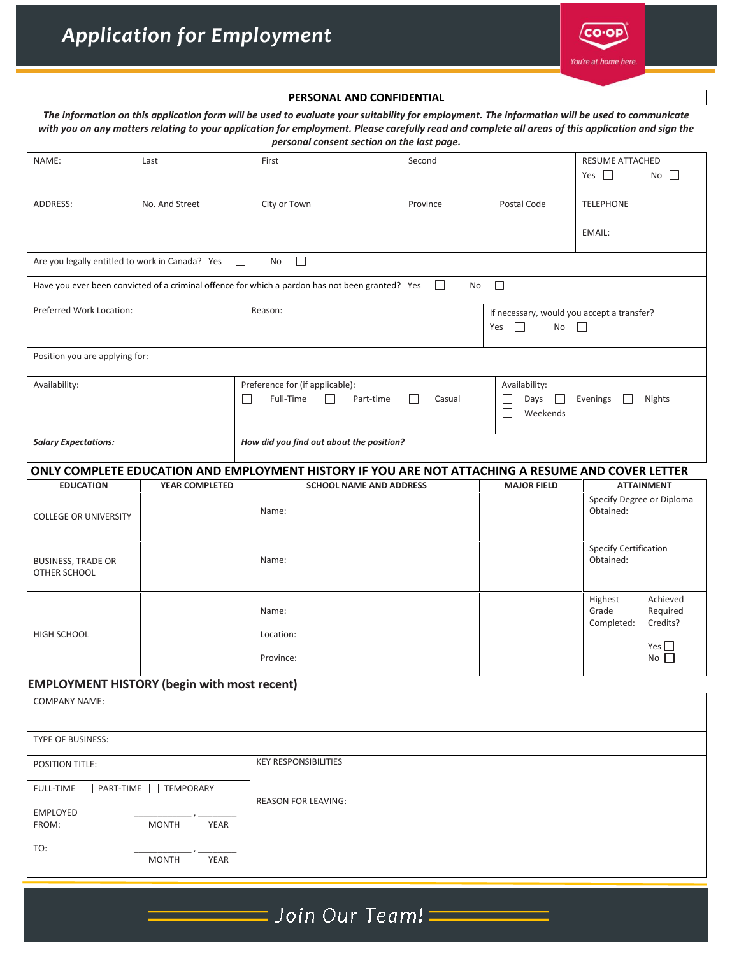

## **PERSONAL AND CONFIDENTIAL**

*The information on this application form will be used to evaluate your suitability for employment. The information will be used to communicate with you on any matters relating to your application for employment. Please carefully read and complete all areas of this application and sign the personal consent section on the last page.*

| NAME:                                              | Last                 |        | First                                                                                             | Second       |                                                                                        | RESUME ATTACHED<br>Yes $\Box$<br>No $\Box$                         |  |  |
|----------------------------------------------------|----------------------|--------|---------------------------------------------------------------------------------------------------|--------------|----------------------------------------------------------------------------------------|--------------------------------------------------------------------|--|--|
| ADDRESS:                                           | No. And Street       |        | City or Town                                                                                      | Province     | Postal Code                                                                            | <b>TELEPHONE</b>                                                   |  |  |
|                                                    |                      |        |                                                                                                   |              |                                                                                        | EMAIL:                                                             |  |  |
| Are you legally entitled to work in Canada? Yes    |                      | $\Box$ | $\Box$<br>No                                                                                      |              |                                                                                        |                                                                    |  |  |
|                                                    |                      |        | Have you ever been convicted of a criminal offence for which a pardon has not been granted? Yes   | $\Box$<br>No | $\Box$                                                                                 |                                                                    |  |  |
| Preferred Work Location:                           |                      |        | Reason:                                                                                           |              | If necessary, would you accept a transfer?<br>$\Box$<br>No<br>$\Box$<br>Yes            |                                                                    |  |  |
| Position you are applying for:                     |                      |        |                                                                                                   |              |                                                                                        |                                                                    |  |  |
| Availability:                                      |                      | П      | Preference for (if applicable):<br>Full-Time<br>П<br>Part-time<br>$\perp$<br>Casual               |              | Availability:<br>Days<br>Evenings<br>Nights<br>$\mathbf{I}$<br>H<br>Weekends<br>$\Box$ |                                                                    |  |  |
| <b>Salary Expectations:</b>                        |                      |        | How did you find out about the position?                                                          |              |                                                                                        |                                                                    |  |  |
|                                                    |                      |        | ONLY COMPLETE EDUCATION AND EMPLOYMENT HISTORY IF YOU ARE NOT ATTACHING A RESUME AND COVER LETTER |              |                                                                                        |                                                                    |  |  |
| <b>EDUCATION</b>                                   | YEAR COMPLETED       |        | <b>SCHOOL NAME AND ADDRESS</b>                                                                    |              | <b>MAJOR FIELD</b>                                                                     | <b>ATTAINMENT</b>                                                  |  |  |
| <b>COLLEGE OR UNIVERSITY</b>                       |                      |        | Name:                                                                                             |              |                                                                                        | Specify Degree or Diploma<br>Obtained:                             |  |  |
| <b>BUSINESS, TRADE OR</b><br>OTHER SCHOOL          |                      |        | Name:                                                                                             |              |                                                                                        | <b>Specify Certification</b><br>Obtained:                          |  |  |
| HIGH SCHOOL                                        |                      |        | Name:<br>Location:                                                                                |              |                                                                                        | Achieved<br>Highest<br>Grade<br>Required<br>Credits?<br>Completed: |  |  |
|                                                    |                      |        | Province:                                                                                         |              |                                                                                        | Yes $\Box$<br>$No$ $\Box$                                          |  |  |
| <b>EMPLOYMENT HISTORY (begin with most recent)</b> |                      |        |                                                                                                   |              |                                                                                        |                                                                    |  |  |
| <b>COMPANY NAME:</b>                               |                      |        |                                                                                                   |              |                                                                                        |                                                                    |  |  |
| TYPE OF BUSINESS:                                  |                      |        |                                                                                                   |              |                                                                                        |                                                                    |  |  |
| POSITION TITLE:                                    |                      |        | <b>KEY RESPONSIBILITIES</b>                                                                       |              |                                                                                        |                                                                    |  |  |
| <b>FULL-TIME</b><br>PART-TIME                      | TEMPORARY            |        |                                                                                                   |              |                                                                                        |                                                                    |  |  |
| <b>EMPLOYED</b><br>YEAR<br>FROM:<br><b>MONTH</b>   |                      |        | <b>REASON FOR LEAVING:</b>                                                                        |              |                                                                                        |                                                                    |  |  |
| TO:                                                | <b>MONTH</b><br>YEAR |        |                                                                                                   |              |                                                                                        |                                                                    |  |  |

## $\equiv$  Join Our Team!  $\equiv$